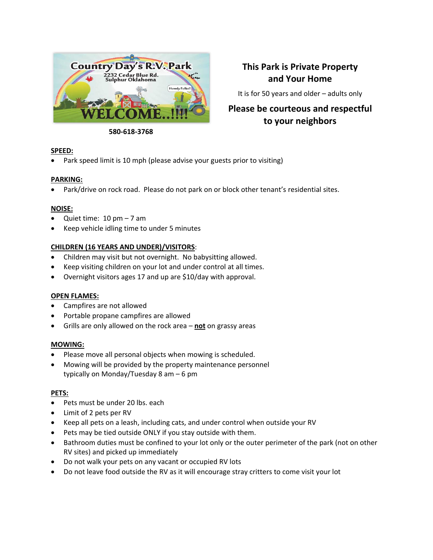

## **This Park is Private Property and Your Home**

It is for 50 years and older – adults only

# **Please be courteous and respectful to your neighbors**

#### **580-618-3768**

### **SPEED:**

• Park speed limit is 10 mph (please advise your guests prior to visiting)

### **PARKING:**

• Park/drive on rock road. Please do not park on or block other tenant's residential sites.

### **NOISE:**

- Quiet time:  $10 \text{ pm} 7 \text{ am}$
- Keep vehicle idling time to under 5 minutes

### **CHILDREN (16 YEARS AND UNDER)/VISITORS**:

- Children may visit but not overnight. No babysitting allowed.
- Keep visiting children on your lot and under control at all times.
- Overnight visitors ages 17 and up are \$10/day with approval.

### **OPEN FLAMES:**

- Campfires are not allowed
- Portable propane campfires are allowed
- Grills are only allowed on the rock area **not** on grassy areas

### **MOWING:**

- Please move all personal objects when mowing is scheduled.
- Mowing will be provided by the property maintenance personnel typically on Monday/Tuesday 8 am – 6 pm

### **PETS:**

- Pets must be under 20 lbs. each
- Limit of 2 pets per RV
- Keep all pets on a leash, including cats, and under control when outside your RV
- Pets may be tied outside ONLY if you stay outside with them.
- Bathroom duties must be confined to your lot only or the outer perimeter of the park (not on other RV sites) and picked up immediately
- Do not walk your pets on any vacant or occupied RV lots
- Do not leave food outside the RV as it will encourage stray critters to come visit your lot